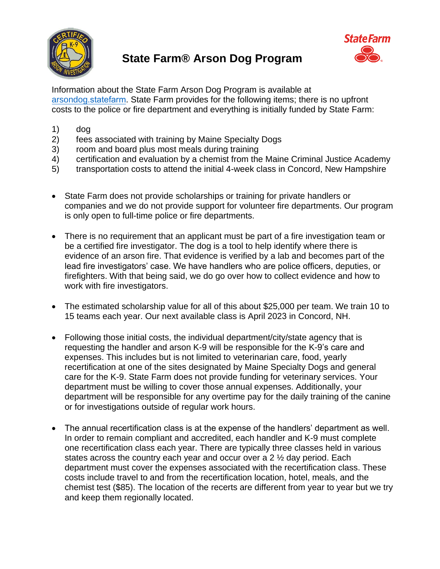

## **State Farm® Arson Dog Program**



Information about the State Farm Arson Dog Program is available at arsondog.statefarm. State Farm provides for the following items; there is no upfront costs to the police or fire department and everything is initially funded by State Farm:

- 1) dog
- 2) fees associated with training by Maine Specialty Dogs
- 3) room and board plus most meals during training
- 4) certification and evaluation by a chemist from the Maine Criminal Justice Academy
- 5) transportation costs to attend the initial 4-week class in Concord, New Hampshire
- State Farm does not provide scholarships or training for private handlers or companies and we do not provide support for volunteer fire departments. Our program is only open to full-time police or fire departments.
- There is no requirement that an applicant must be part of a fire investigation team or be a certified fire investigator. The dog is a tool to help identify where there is evidence of an arson fire. That evidence is verified by a lab and becomes part of the lead fire investigators' case. We have handlers who are police officers, deputies, or firefighters. With that being said, we do go over how to collect evidence and how to work with fire investigators.
- The estimated scholarship value for all of this about \$25,000 per team. We train 10 to 15 teams each year. Our next available class is April 2023 in Concord, NH.
- Following those initial costs, the individual department/city/state agency that is requesting the handler and arson K-9 will be responsible for the K-9's care and expenses. This includes but is not limited to veterinarian care, food, yearly recertification at one of the sites designated by Maine Specialty Dogs and general care for the K-9. State Farm does not provide funding for veterinary services. Your department must be willing to cover those annual expenses. Additionally, your department will be responsible for any overtime pay for the daily training of the canine or for investigations outside of regular work hours.
- The annual recertification class is at the expense of the handlers' department as well. In order to remain compliant and accredited, each handler and K-9 must complete one recertification class each year. There are typically three classes held in various states across the country each year and occur over a 2  $\frac{1}{2}$  day period. Each department must cover the expenses associated with the recertification class. These costs include travel to and from the recertification location, hotel, meals, and the chemist test (\$85). The location of the recerts are different from year to year but we try and keep them regionally located.